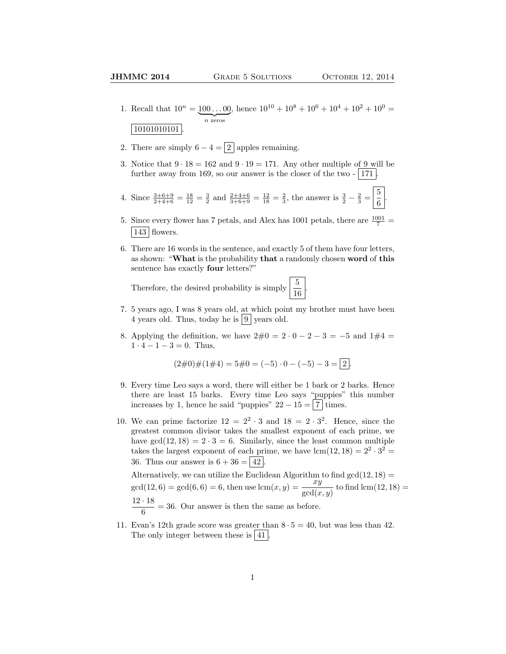- 1. Recall that  $10^n = 100...00$  $\overline{n}$  zeros , hence  $10^{10} + 10^8 + 10^6 + 10^4 + 10^2 + 10^0 =$  $|10101010101|$
- 2. There are simply  $6 4 = \boxed{2}$  apples remaining.
- 3. Notice that  $9 \cdot 18 = 162$  and  $9 \cdot 19 = 171$ . Any other multiple of 9 will be further away from 169, so our answer is the closer of the two  $-$  171.
- 4. Since  $\frac{3+6+9}{2+4+6} = \frac{18}{12} = \frac{3}{2}$  and  $\frac{2+4+6}{3+6+9} = \frac{12}{18} = \frac{2}{3}$ , the answer is  $\frac{3}{2} \frac{2}{3} = \frac{5}{6}$  $\frac{5}{6}$
- 5. Since every flower has 7 petals, and Alex has 1001 petals, there are  $\frac{1001}{7}$  =  $143$  flowers.
- 6. There are 16 words in the sentence, and exactly 5 of them have four letters, as shown: "What is the probability that a randomly chosen word of this sentence has exactly four letters?"

.

Therefore, the desired probability is simply  $\frac{5}{16}$ 

- 7. 5 years ago, I was 8 years old, at which point my brother must have been 4 years old. Thus, today he is  $9 \vert$  years old.
- 8. Applying the definition, we have  $2\#0 = 2 \cdot 0 2 3 = -5$  and  $1\#4 =$  $1 \cdot 4 - 1 - 3 = 0$ . Thus,

$$
(2\#0)\#(1\#4) = 5\#0 = (-5) \cdot 0 - (-5) - 3 = 2.
$$

- 9. Every time Leo says a word, there will either be 1 bark or 2 barks. Hence there are least 15 barks. Every time Leo says "puppies" this number increases by 1, hence he said "puppies"  $22 - 15 = 7$  times.
- 10. We can prime factorize  $12 = 2^2 \cdot 3$  and  $18 = 2 \cdot 3^2$ . Hence, since the greatest common divisor takes the smallest exponent of each prime, we have  $gcd(12, 18) = 2 \cdot 3 = 6$ . Similarly, since the least common multiple takes the largest exponent of each prime, we have  $lcm(12, 18) = 2^2 \cdot 3^2 =$ 36. Thus our answer is  $6 + 36 = 42$ . Alternatively, we can utilize the Euclidean Algorithm to find  $gcd(12, 18) =$

 $gcd(12, 6) = gcd(6, 6) = 6$ , then use  $lcm(x, y) = \frac{xy}{gcd(x, y)}$  to find  $lcm(12, 18) =$  $12 \cdot 18$  $\frac{1}{6}$  = 36. Our answer is then the same as before.

11. Evan's 12th grade score was greater than  $8 \cdot 5 = 40$ , but was less than 42. The only integer between these is  $|41|$ .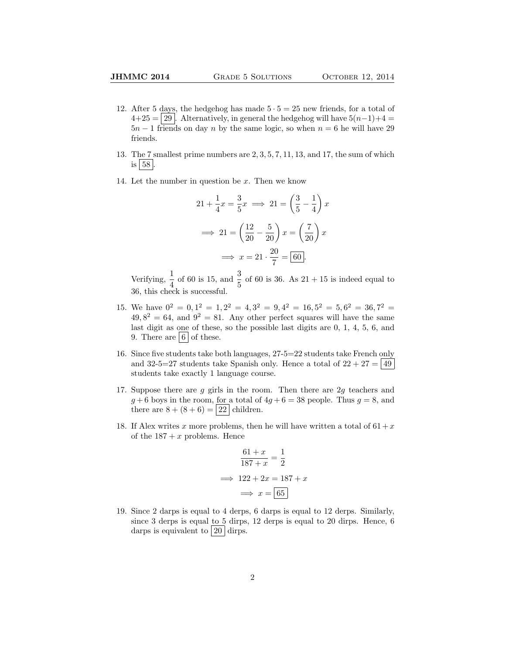- 12. After 5 days, the hedgehog has made  $5 \cdot 5 = 25$  new friends, for a total of  $4+25 = 29$ . Alternatively, in general the hedgehog will have  $5(n-1)+4 = 4$  $5n - 1$  friends on day n by the same logic, so when  $n = 6$  he will have 29 friends.
- 13. The 7 smallest prime numbers are 2, 3, 5, 7, 11, 13, and 17, the sum of which is  $|58|$ .
- 14. Let the number in question be  $x$ . Then we know

$$
21 + \frac{1}{4}x = \frac{3}{5}x \implies 21 = \left(\frac{3}{5} - \frac{1}{4}\right)x
$$

$$
\implies 21 = \left(\frac{12}{20} - \frac{5}{20}\right)x = \left(\frac{7}{20}\right)x
$$

$$
\implies x = 21 \cdot \frac{20}{7} = \boxed{60}.
$$

Verifying,  $\frac{1}{4}$  of 60 is 15, and  $\frac{3}{5}$  of 60 is 36. As 21 + 15 is indeed equal to 36, this check is successful.

- 15. We have  $0^2 = 0, 1^2 = 1, 2^2 = 4, 3^2 = 9, 4^2 = 16, 5^2 = 5, 6^2 = 36, 7^2 = 16$  $49,8^2 = 64$ , and  $9^2 = 81$ . Any other perfect squares will have the same last digit as one of these, so the possible last digits are 0, 1, 4, 5, 6, and 9. There are  $6$  of these.
- 16. Since five students take both languages, 27-5=22 students take French only and 32-5=27 students take Spanish only. Hence a total of  $22 + 27 = |49|$ students take exactly 1 language course.
- 17. Suppose there are  $g$  girls in the room. Then there are  $2g$  teachers and  $g+6$  boys in the room, for a total of  $4g+6=38$  people. Thus  $g=8$ , and there are  $8 + (8 + 6) = 22$  children.
- 18. If Alex writes x more problems, then he will have written a total of  $61 + x$ of the  $187 + x$  problems. Hence

$$
\frac{61+x}{187+x} = \frac{1}{2}
$$

$$
\implies 122 + 2x = 187 + x
$$

$$
\implies x = \boxed{65}
$$

19. Since 2 darps is equal to 4 derps, 6 darps is equal to 12 derps. Similarly, since 3 derps is equal to 5 dirps, 12 derps is equal to 20 dirps. Hence, 6 darps is equivalent to  $\boxed{20}$  dirps.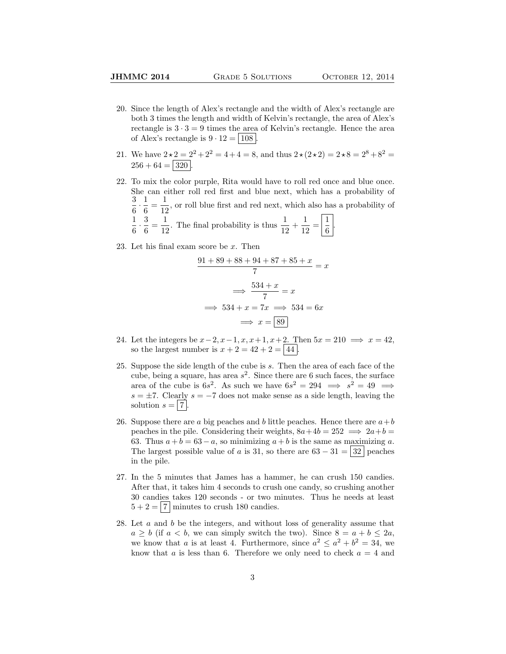- 20. Since the length of Alex's rectangle and the width of Alex's rectangle are both 3 times the length and width of Kelvin's rectangle, the area of Alex's rectangle is  $3 \cdot 3 = 9$  times the area of Kelvin's rectangle. Hence the area of Alex's rectangle is  $9 \cdot 12 = | 108 |$ .
- 21. We have  $2 \star 2 = 2^2 + 2^2 = 4 + 4 = 8$ , and thus  $2 \star (2 \star 2) = 2 \star 8 = 2^8 + 8^2 = 1$  $256 + 64 = 320$
- 22. To mix the color purple, Rita would have to roll red once and blue once. She can either roll red first and blue next, which has a probability of 3  $\frac{3}{6} \cdot \frac{1}{6}$  $\frac{1}{6} = \frac{1}{12}$  $\frac{1}{12}$ , or roll blue first and red next, which also has a probability of 1  $\frac{1}{6} \cdot \frac{3}{6}$  $\frac{3}{6} = \frac{1}{12}$  $\frac{1}{12}$ . The final probability is thus  $\frac{1}{12} + \frac{1}{12}$  $\frac{1}{12} = \left| \frac{1}{6} \right|$  $\frac{1}{6}$
- 23. Let his final exam score be x. Then

$$
\frac{91 + 89 + 88 + 94 + 87 + 85 + x}{7} = x
$$

$$
\implies \frac{534 + x}{7} = x
$$

$$
\implies 534 + x = 7x \implies 534 = 6x
$$

$$
\implies x = \boxed{89}
$$

- 24. Let the integers be  $x-2$ ,  $x-1$ ,  $x$ ,  $x+1$ ,  $x+2$ . Then  $5x = 210 \implies x = 42$ , so the largest number is  $x + 2 = 42 + 2 = 44$ .
- 25. Suppose the side length of the cube is s. Then the area of each face of the cube, being a square, has area  $s^2$ . Since there are 6 such faces, the surface area of the cube is  $6s^2$ . As such we have  $6s^2 = 294 \implies s^2 = 49 \implies$  $s = \pm 7$ . Clearly  $s = -7$  does not make sense as a side length, leaving the solution  $s = |7|$ .
- 26. Suppose there are a big peaches and b little peaches. Hence there are  $a+b$ peaches in the pile. Considering their weights,  $8a+4b = 252 \implies 2a+b =$ 63. Thus  $a + b = 63 - a$ , so minimizing  $a + b$  is the same as maximizing a. The largest possible value of a is 31, so there are  $63 - 31 = |32|$  peaches in the pile.
- 27. In the 5 minutes that James has a hammer, he can crush 150 candies. After that, it takes him 4 seconds to crush one candy, so crushing another 30 candies takes 120 seconds - or two minutes. Thus he needs at least  $5 + 2 = |7|$  minutes to crush 180 candies.
- 28. Let a and b be the integers, and without loss of generality assume that  $a \geq b$  (if  $a < b$ , we can simply switch the two). Since  $8 = a + b \leq 2a$ , we know that a is at least 4. Furthermore, since  $a^2 \le a^2 + b^2 = 34$ , we know that a is less than 6. Therefore we only need to check  $a = 4$  and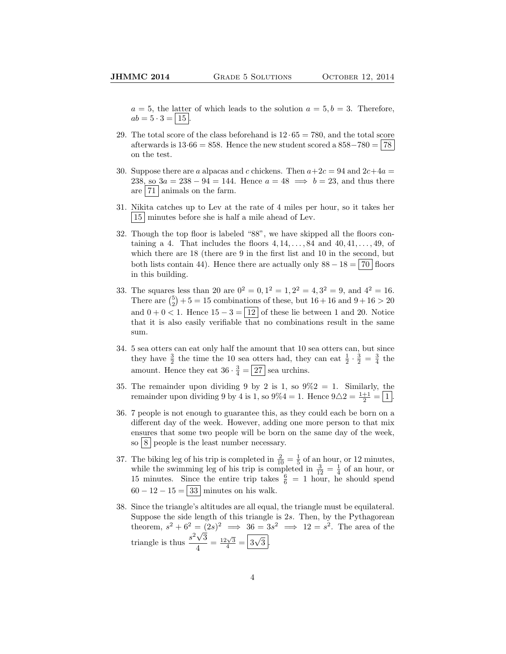$a = 5$ , the latter of which leads to the solution  $a = 5, b = 3$ . Therefore,  $ab = 5 \cdot 3 = | 15 |.$ 

- 29. The total score of the class beforehand is  $12 \cdot 65 = 780$ , and the total score afterwards is  $13.66 = 858$ . Hence the new student scored a  $858-780 = |78|$ on the test.
- 30. Suppose there are a alpacas and c chickens. Then  $a+2c = 94$  and  $2c+4a =$ 238, so  $3a = 238 - 94 = 144$ . Hence  $a = 48 \implies b = 23$ , and thus there are  $|71|$  animals on the farm.
- 31. Nikita catches up to Lev at the rate of 4 miles per hour, so it takes her 15 minutes before she is half a mile ahead of Lev.
- 32. Though the top floor is labeled "88", we have skipped all the floors containing a 4. That includes the floors  $4, 14, \ldots, 84$  and  $40, 41, \ldots, 49$ , of which there are 18 (there are 9 in the first list and 10 in the second, but both lists contain 44). Hence there are actually only  $88 - 18 = 70$  floors in this building.
- 33. The squares less than 20 are  $0^2 = 0$ ,  $1^2 = 1$ ,  $2^2 = 4$ ,  $3^2 = 9$ , and  $4^2 = 16$ . There are  $\binom{5}{2} + 5 = 15$  combinations of these, but  $16 + 16$  and  $9 + 16 > 20$ and  $0 + 0 < 1$ . Hence  $15 - 3 = |12|$  of these lie between 1 and 20. Notice that it is also easily verifiable that no combinations result in the same sum.
- 34. 5 sea otters can eat only half the amount that 10 sea otters can, but since they have  $\frac{3}{2}$  the time the 10 sea otters had, they can eat  $\frac{1}{2} \cdot \frac{3}{2} = \frac{3}{4}$  the amount. Hence they eat  $36 \cdot \frac{3}{4} = 27$  sea urchins.
- 35. The remainder upon dividing 9 by 2 is 1, so  $9\%2 = 1$ . Similarly, the remainder upon dividing 9 by 4 is 1, so  $9\%4 = 1$ . Hence  $9\triangle 2 = \frac{1+1}{2} = \boxed{1}$ .
- 36. 7 people is not enough to guarantee this, as they could each be born on a different day of the week. However, adding one more person to that mix ensures that some two people will be born on the same day of the week, so  $8$  people is the least number necessary.
- 37. The biking leg of his trip is completed in  $\frac{2}{10} = \frac{1}{5}$  of an hour, or 12 minutes, while the swimming leg of his trip is completed in  $\frac{3}{12} = \frac{1}{4}$  of an hour, or 15 minutes. Since the entire trip takes  $\frac{6}{6}$  = 1 hour, he should spend  $60 - 12 - 15 = 33$  minutes on his walk.
- 38. Since the triangle's altitudes are all equal, the triangle must be equilateral. Suppose the side length of this triangle is 2s. Then, by the Pythagorean theorem,  $s^2 + 6^2 = (2s)^2 \implies 36 = 3s^2 \implies 12 = s^2$ . The area of the triangle is thus  $\frac{s^2\sqrt{3}}{4}$  $\frac{\sqrt{3}}{4} = \frac{12\sqrt{3}}{4} = \boxed{3}$ √  $3<sup>2</sup>$ .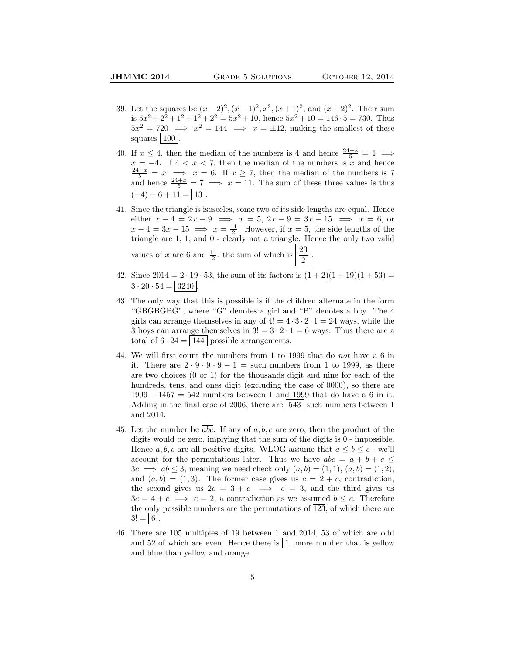- 39. Let the squares be  $(x-2)^2$ ,  $(x-1)^2$ ,  $x^2$ ,  $(x+1)^2$ , and  $(x+2)^2$ . Their sum is  $5x^2 + 2^2 + 1^2 + 1^2 + 2^2 = 5x^2 + 10$ , hence  $5x^2 + 10 = 146 \cdot 5 = 730$ . Thus  $5x^2 = 720 \implies x^2 = 144 \implies x = \pm 12$ , making the smallest of these squares  $|100|$ .
- 40. If  $x \leq 4$ , then the median of the numbers is 4 and hence  $\frac{24+x}{5} = 4 \implies$  $x = -4$ . If  $4 < x < 7$ , then the median of the numbers is x and hence  $\frac{24+x}{5} = x \implies x = 6$ . If  $x \ge 7$ , then the median of the numbers is 7 and hence  $\frac{24+x}{5} = 7 \implies x = 11$ . The sum of these three values is thus  $(-4) + 6 + 11 = |13|$
- 41. Since the triangle is isosceles, some two of its side lengths are equal. Hence either  $x - 4 = 2x - 9 \implies x = 5, 2x - 9 = 3x - 15 \implies x = 6$ , or  $x - 4 = 3x - 15 \implies x = \frac{11}{2}$ . However, if  $x = 5$ , the side lengths of the triangle are 1, 1, and 0 - clearly not a triangle. Hence the only two valid values of x are 6 and  $\frac{11}{2}$ , the sum of which is  $\frac{23}{2}$ 2 .
- 42. Since  $2014 = 2 \cdot 19 \cdot 53$ , the sum of its factors is  $(1+2)(1+19)(1+53) =$  $3 \cdot 20 \cdot 54 = |3240|$
- 43. The only way that this is possible is if the children alternate in the form "GBGBGBG", where "G" denotes a girl and "B" denotes a boy. The 4 girls can arrange themselves in any of  $4! = 4 \cdot 3 \cdot 2 \cdot 1 = 24$  ways, while the 3 boys can arrange themselves in  $3! = 3 \cdot 2 \cdot 1 = 6$  ways. Thus there are a total of  $6 \cdot 24 = |144|$  possible arrangements.
- 44. We will first count the numbers from 1 to 1999 that do not have a 6 in it. There are  $2 \cdot 9 \cdot 9 - 1 =$  such numbers from 1 to 1999, as there are two choices (0 or 1) for the thousands digit and nine for each of the hundreds, tens, and ones digit (excluding the case of 0000), so there are  $1999 - 1457 = 542$  numbers between 1 and 1999 that do have a 6 in it. Adding in the final case of 2006, there are  $\boxed{543}$  such numbers between 1 and 2014.
- 45. Let the number be abc. If any of  $a, b, c$  are zero, then the product of the digits would be zero, implying that the sum of the digits is 0 - impossible. Hence  $a, b, c$  are all positive digits. WLOG assume that  $a \leq b \leq c$  - we'll account for the permutations later. Thus we have  $abc = a + b + c \leq$  $3c \implies ab \leq 3$ , meaning we need check only  $(a, b) = (1, 1), (a, b) = (1, 2),$ and  $(a, b) = (1, 3)$ . The former case gives us  $c = 2 + c$ , contradiction, the second gives us  $2c = 3 + c \implies c = 3$ , and the third gives us  $3c = 4 + c \implies c = 2$ , a contradiction as we assumed  $b \leq c$ . Therefore the only possible numbers are the permutations of  $\overline{123}$ , of which there are  $3! = | 6 |$
- 46. There are 105 multiples of 19 between 1 and 2014, 53 of which are odd and 52 of which are even. Hence there is  $|1|$  more number that is yellow and blue than yellow and orange.